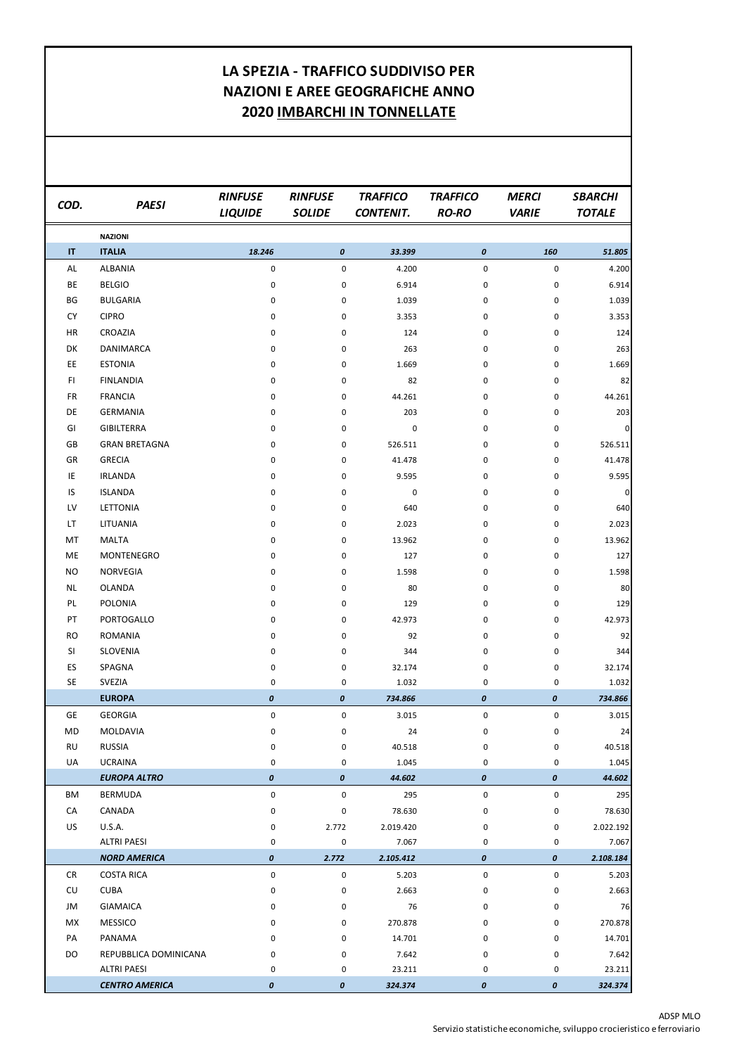## ADSP MLO

Servizio statistiche economiche, sviluppo crocieristico e ferroviario

| <b>NAZIONI</b><br><b>ITALIA</b><br>$\mathsf{I}\mathsf{T}$<br>18.246<br>$\pmb{\mathit{0}}$<br>160<br>$\pmb{\mathit{0}}$<br>33.399<br>51.805<br>ALBANIA<br>$\pmb{0}$<br>0<br>4.200<br>$\pmb{0}$<br>$\pmb{0}$<br>AL<br>4.200<br><b>BE</b><br><b>BELGIO</b><br>6.914<br>0<br>0<br>0<br>6.914<br>0<br>BG<br><b>BULGARIA</b><br>0<br>1.039<br>0<br>0<br>1.039<br>0<br><b>CY</b><br><b>CIPRO</b><br>0<br>3.353<br>0<br>3.353<br>0<br>0<br>CROAZIA<br>HR<br>0<br>124<br>0<br>124<br>0<br>0<br>DK<br>DANIMARCA<br>263<br>0<br>0<br>0<br>263<br>0<br><b>ESTONIA</b><br>EE<br>1.669<br>1.669<br>0<br>0<br>0<br>0<br><b>FINLANDIA</b><br>F1<br>82<br>0<br>82<br>0<br>0<br>0<br><b>FRANCIA</b><br><b>FR</b><br>44.261<br>44.261<br>0<br>0<br>0<br>0<br>DE<br><b>GERMANIA</b><br>203<br>0<br>0<br>203<br>0<br>0<br>GI<br><b>GIBILTERRA</b><br>0<br>0<br>0<br>$\overline{0}$<br>0<br>0<br><b>GRAN BRETAGNA</b><br>GB<br>526.511<br>526.511<br>0<br>0<br>0<br>0<br>GR<br><b>GRECIA</b><br>41.478<br>0<br>0<br>0<br>0<br>IE<br><b>IRLANDA</b><br>9.595<br>0<br>0<br>0<br>9.595<br>0<br>IS<br><b>ISLANDA</b><br>0<br>$\mathbf 0$<br>0<br>0<br>0<br>0<br><b>LETTONIA</b><br>LV<br>640<br>0<br>0<br>0<br>640<br>0<br>LT.<br>LITUANIA<br>2.023<br>0<br>2.023<br>0<br>0<br>0<br>MT<br><b>MALTA</b><br>13.962<br>0<br>0<br>13.962<br>0<br>0<br>ME<br>MONTENEGRO<br>0<br>127<br>0<br>0<br>127<br>0<br><b>NO</b><br><b>NORVEGIA</b><br>1.598<br>0<br>0<br>0<br>0<br><b>NL</b><br><b>OLANDA</b><br>80<br>80<br>0<br>0<br>0<br>0<br>PL<br><b>POLONIA</b><br>129<br>129<br>0<br>0<br>0<br>0<br>PORTOGALLO<br>PT<br>42.973<br>0<br>0<br>0<br>0<br><b>ROMANIA</b><br>92<br>92<br><b>RO</b><br>0<br>0<br>0<br>0<br>SI<br><b>SLOVENIA</b><br>344<br>344<br>0<br>0<br>0<br>0<br>ES<br>SPAGNA<br>32.174<br>32.174<br>0<br>0<br>0<br>0<br><b>SE</b><br>SVEZIA<br>1.032<br>0<br>0<br>0<br>1.032<br>0<br><b>EUROPA</b><br>$\pmb{\mathit{0}}$<br>734.866<br>734.866<br>0<br>$\boldsymbol{o}$<br>$\boldsymbol{o}$<br><b>GEORGIA</b><br>GE<br>0<br>0<br>3.015<br>0<br>0<br>3.015<br>24<br>MD<br>MOLDAVIA<br>24<br>0<br>0<br>0<br>0<br><b>RUSSIA</b><br><b>RU</b><br>40.518<br>0<br>0<br>0<br>0<br>UA<br><b>UCRAINA</b><br>1.045<br>0<br>1.045<br>0<br>0<br>0<br><b>EUROPA ALTRO</b><br>$\pmb{\mathit{0}}$<br>$\boldsymbol{o}$<br>44.602<br>$\pmb{o}$<br>$\pmb{o}$<br>44.602<br>BM<br><b>BERMUDA</b><br>0<br>0<br>295<br>0<br>0<br>295<br>CANADA<br>CA<br>78.630<br>0<br>0<br>0<br>0<br><b>U.S.A.</b><br><b>US</b><br>2.772<br>2.019.420<br>2.022.192<br>0<br>0<br>0<br><b>ALTRI PAESI</b><br>7.067<br>0<br>0<br>0<br>0<br>7.067<br><b>NORD AMERICA</b><br>$\pmb{\mathit{0}}$<br>2.772<br>2.105.412<br>2.108.184<br>$\boldsymbol{o}$<br>$\boldsymbol{o}$<br><b>COSTA RICA</b><br><b>CR</b><br>0<br>0<br>5.203<br>0<br>0<br>5.203<br>CU<br><b>CUBA</b><br>2.663<br>2.663<br>0<br>0<br>0<br>0<br>JM<br><b>GIAMAICA</b><br>76<br>76<br>0<br>0<br>0<br>0<br><b>MESSICO</b><br>MX<br>270.878<br>0<br>0<br>0<br>0<br>PA<br>PANAMA<br>14.701<br>0<br>0<br>0<br>14.701<br>0<br>REPUBBLICA DOMINICANA<br>DO<br>7.642<br>0<br>0<br>0<br>7.642<br>0<br><b>ALTRI PAESI</b><br>0<br>23.211<br>0<br>0<br>0 | COD. | <b>PAESI</b>          | <b>RINFUSE</b><br><b>LIQUIDE</b> | <b>RINFUSE</b><br><b>SOLIDE</b> | <b>TRAFFICO</b><br><b>CONTENIT.</b> | <b>TRAFFICO</b><br><b>RO-RO</b> | <b>MERCI</b><br><b>VARIE</b> | <b>SBARCHI</b><br><b>TOTALE</b> |
|-----------------------------------------------------------------------------------------------------------------------------------------------------------------------------------------------------------------------------------------------------------------------------------------------------------------------------------------------------------------------------------------------------------------------------------------------------------------------------------------------------------------------------------------------------------------------------------------------------------------------------------------------------------------------------------------------------------------------------------------------------------------------------------------------------------------------------------------------------------------------------------------------------------------------------------------------------------------------------------------------------------------------------------------------------------------------------------------------------------------------------------------------------------------------------------------------------------------------------------------------------------------------------------------------------------------------------------------------------------------------------------------------------------------------------------------------------------------------------------------------------------------------------------------------------------------------------------------------------------------------------------------------------------------------------------------------------------------------------------------------------------------------------------------------------------------------------------------------------------------------------------------------------------------------------------------------------------------------------------------------------------------------------------------------------------------------------------------------------------------------------------------------------------------------------------------------------------------------------------------------------------------------------------------------------------------------------------------------------------------------------------------------------------------------------------------------------------------------------------------------------------------------------------------------------------------------------------------------------------------------------------------------------------------------------------------------------------------------------------------------------------------------------------------------------------------------------------------------------------------------------------------------------------------------------------------------------------------------------------------------------------------------------------------------------------------------------------------------------------------------------------------------------|------|-----------------------|----------------------------------|---------------------------------|-------------------------------------|---------------------------------|------------------------------|---------------------------------|
| 41.478<br>1.598<br>42.973<br>40.518<br>78.630<br>270.878<br>23.211                                                                                                                                                                                                                                                                                                                                                                                                                                                                                                                                                                                                                                                                                                                                                                                                                                                                                                                                                                                                                                                                                                                                                                                                                                                                                                                                                                                                                                                                                                                                                                                                                                                                                                                                                                                                                                                                                                                                                                                                                                                                                                                                                                                                                                                                                                                                                                                                                                                                                                                                                                                                                                                                                                                                                                                                                                                                                                                                                                                                                                                                                  |      |                       |                                  |                                 |                                     |                                 |                              |                                 |
|                                                                                                                                                                                                                                                                                                                                                                                                                                                                                                                                                                                                                                                                                                                                                                                                                                                                                                                                                                                                                                                                                                                                                                                                                                                                                                                                                                                                                                                                                                                                                                                                                                                                                                                                                                                                                                                                                                                                                                                                                                                                                                                                                                                                                                                                                                                                                                                                                                                                                                                                                                                                                                                                                                                                                                                                                                                                                                                                                                                                                                                                                                                                                     |      |                       |                                  |                                 |                                     |                                 |                              |                                 |
|                                                                                                                                                                                                                                                                                                                                                                                                                                                                                                                                                                                                                                                                                                                                                                                                                                                                                                                                                                                                                                                                                                                                                                                                                                                                                                                                                                                                                                                                                                                                                                                                                                                                                                                                                                                                                                                                                                                                                                                                                                                                                                                                                                                                                                                                                                                                                                                                                                                                                                                                                                                                                                                                                                                                                                                                                                                                                                                                                                                                                                                                                                                                                     |      |                       |                                  |                                 |                                     |                                 |                              |                                 |
|                                                                                                                                                                                                                                                                                                                                                                                                                                                                                                                                                                                                                                                                                                                                                                                                                                                                                                                                                                                                                                                                                                                                                                                                                                                                                                                                                                                                                                                                                                                                                                                                                                                                                                                                                                                                                                                                                                                                                                                                                                                                                                                                                                                                                                                                                                                                                                                                                                                                                                                                                                                                                                                                                                                                                                                                                                                                                                                                                                                                                                                                                                                                                     |      |                       |                                  |                                 |                                     |                                 |                              |                                 |
|                                                                                                                                                                                                                                                                                                                                                                                                                                                                                                                                                                                                                                                                                                                                                                                                                                                                                                                                                                                                                                                                                                                                                                                                                                                                                                                                                                                                                                                                                                                                                                                                                                                                                                                                                                                                                                                                                                                                                                                                                                                                                                                                                                                                                                                                                                                                                                                                                                                                                                                                                                                                                                                                                                                                                                                                                                                                                                                                                                                                                                                                                                                                                     |      |                       |                                  |                                 |                                     |                                 |                              |                                 |
|                                                                                                                                                                                                                                                                                                                                                                                                                                                                                                                                                                                                                                                                                                                                                                                                                                                                                                                                                                                                                                                                                                                                                                                                                                                                                                                                                                                                                                                                                                                                                                                                                                                                                                                                                                                                                                                                                                                                                                                                                                                                                                                                                                                                                                                                                                                                                                                                                                                                                                                                                                                                                                                                                                                                                                                                                                                                                                                                                                                                                                                                                                                                                     |      |                       |                                  |                                 |                                     |                                 |                              |                                 |
|                                                                                                                                                                                                                                                                                                                                                                                                                                                                                                                                                                                                                                                                                                                                                                                                                                                                                                                                                                                                                                                                                                                                                                                                                                                                                                                                                                                                                                                                                                                                                                                                                                                                                                                                                                                                                                                                                                                                                                                                                                                                                                                                                                                                                                                                                                                                                                                                                                                                                                                                                                                                                                                                                                                                                                                                                                                                                                                                                                                                                                                                                                                                                     |      |                       |                                  |                                 |                                     |                                 |                              |                                 |
|                                                                                                                                                                                                                                                                                                                                                                                                                                                                                                                                                                                                                                                                                                                                                                                                                                                                                                                                                                                                                                                                                                                                                                                                                                                                                                                                                                                                                                                                                                                                                                                                                                                                                                                                                                                                                                                                                                                                                                                                                                                                                                                                                                                                                                                                                                                                                                                                                                                                                                                                                                                                                                                                                                                                                                                                                                                                                                                                                                                                                                                                                                                                                     |      |                       |                                  |                                 |                                     |                                 |                              |                                 |
|                                                                                                                                                                                                                                                                                                                                                                                                                                                                                                                                                                                                                                                                                                                                                                                                                                                                                                                                                                                                                                                                                                                                                                                                                                                                                                                                                                                                                                                                                                                                                                                                                                                                                                                                                                                                                                                                                                                                                                                                                                                                                                                                                                                                                                                                                                                                                                                                                                                                                                                                                                                                                                                                                                                                                                                                                                                                                                                                                                                                                                                                                                                                                     |      |                       |                                  |                                 |                                     |                                 |                              |                                 |
|                                                                                                                                                                                                                                                                                                                                                                                                                                                                                                                                                                                                                                                                                                                                                                                                                                                                                                                                                                                                                                                                                                                                                                                                                                                                                                                                                                                                                                                                                                                                                                                                                                                                                                                                                                                                                                                                                                                                                                                                                                                                                                                                                                                                                                                                                                                                                                                                                                                                                                                                                                                                                                                                                                                                                                                                                                                                                                                                                                                                                                                                                                                                                     |      |                       |                                  |                                 |                                     |                                 |                              |                                 |
|                                                                                                                                                                                                                                                                                                                                                                                                                                                                                                                                                                                                                                                                                                                                                                                                                                                                                                                                                                                                                                                                                                                                                                                                                                                                                                                                                                                                                                                                                                                                                                                                                                                                                                                                                                                                                                                                                                                                                                                                                                                                                                                                                                                                                                                                                                                                                                                                                                                                                                                                                                                                                                                                                                                                                                                                                                                                                                                                                                                                                                                                                                                                                     |      |                       |                                  |                                 |                                     |                                 |                              |                                 |
|                                                                                                                                                                                                                                                                                                                                                                                                                                                                                                                                                                                                                                                                                                                                                                                                                                                                                                                                                                                                                                                                                                                                                                                                                                                                                                                                                                                                                                                                                                                                                                                                                                                                                                                                                                                                                                                                                                                                                                                                                                                                                                                                                                                                                                                                                                                                                                                                                                                                                                                                                                                                                                                                                                                                                                                                                                                                                                                                                                                                                                                                                                                                                     |      |                       |                                  |                                 |                                     |                                 |                              |                                 |
|                                                                                                                                                                                                                                                                                                                                                                                                                                                                                                                                                                                                                                                                                                                                                                                                                                                                                                                                                                                                                                                                                                                                                                                                                                                                                                                                                                                                                                                                                                                                                                                                                                                                                                                                                                                                                                                                                                                                                                                                                                                                                                                                                                                                                                                                                                                                                                                                                                                                                                                                                                                                                                                                                                                                                                                                                                                                                                                                                                                                                                                                                                                                                     |      |                       |                                  |                                 |                                     |                                 |                              |                                 |
|                                                                                                                                                                                                                                                                                                                                                                                                                                                                                                                                                                                                                                                                                                                                                                                                                                                                                                                                                                                                                                                                                                                                                                                                                                                                                                                                                                                                                                                                                                                                                                                                                                                                                                                                                                                                                                                                                                                                                                                                                                                                                                                                                                                                                                                                                                                                                                                                                                                                                                                                                                                                                                                                                                                                                                                                                                                                                                                                                                                                                                                                                                                                                     |      |                       |                                  |                                 |                                     |                                 |                              |                                 |
|                                                                                                                                                                                                                                                                                                                                                                                                                                                                                                                                                                                                                                                                                                                                                                                                                                                                                                                                                                                                                                                                                                                                                                                                                                                                                                                                                                                                                                                                                                                                                                                                                                                                                                                                                                                                                                                                                                                                                                                                                                                                                                                                                                                                                                                                                                                                                                                                                                                                                                                                                                                                                                                                                                                                                                                                                                                                                                                                                                                                                                                                                                                                                     |      |                       |                                  |                                 |                                     |                                 |                              |                                 |
|                                                                                                                                                                                                                                                                                                                                                                                                                                                                                                                                                                                                                                                                                                                                                                                                                                                                                                                                                                                                                                                                                                                                                                                                                                                                                                                                                                                                                                                                                                                                                                                                                                                                                                                                                                                                                                                                                                                                                                                                                                                                                                                                                                                                                                                                                                                                                                                                                                                                                                                                                                                                                                                                                                                                                                                                                                                                                                                                                                                                                                                                                                                                                     |      |                       |                                  |                                 |                                     |                                 |                              |                                 |
|                                                                                                                                                                                                                                                                                                                                                                                                                                                                                                                                                                                                                                                                                                                                                                                                                                                                                                                                                                                                                                                                                                                                                                                                                                                                                                                                                                                                                                                                                                                                                                                                                                                                                                                                                                                                                                                                                                                                                                                                                                                                                                                                                                                                                                                                                                                                                                                                                                                                                                                                                                                                                                                                                                                                                                                                                                                                                                                                                                                                                                                                                                                                                     |      |                       |                                  |                                 |                                     |                                 |                              |                                 |
|                                                                                                                                                                                                                                                                                                                                                                                                                                                                                                                                                                                                                                                                                                                                                                                                                                                                                                                                                                                                                                                                                                                                                                                                                                                                                                                                                                                                                                                                                                                                                                                                                                                                                                                                                                                                                                                                                                                                                                                                                                                                                                                                                                                                                                                                                                                                                                                                                                                                                                                                                                                                                                                                                                                                                                                                                                                                                                                                                                                                                                                                                                                                                     |      |                       |                                  |                                 |                                     |                                 |                              |                                 |
|                                                                                                                                                                                                                                                                                                                                                                                                                                                                                                                                                                                                                                                                                                                                                                                                                                                                                                                                                                                                                                                                                                                                                                                                                                                                                                                                                                                                                                                                                                                                                                                                                                                                                                                                                                                                                                                                                                                                                                                                                                                                                                                                                                                                                                                                                                                                                                                                                                                                                                                                                                                                                                                                                                                                                                                                                                                                                                                                                                                                                                                                                                                                                     |      |                       |                                  |                                 |                                     |                                 |                              |                                 |
|                                                                                                                                                                                                                                                                                                                                                                                                                                                                                                                                                                                                                                                                                                                                                                                                                                                                                                                                                                                                                                                                                                                                                                                                                                                                                                                                                                                                                                                                                                                                                                                                                                                                                                                                                                                                                                                                                                                                                                                                                                                                                                                                                                                                                                                                                                                                                                                                                                                                                                                                                                                                                                                                                                                                                                                                                                                                                                                                                                                                                                                                                                                                                     |      |                       |                                  |                                 |                                     |                                 |                              |                                 |
|                                                                                                                                                                                                                                                                                                                                                                                                                                                                                                                                                                                                                                                                                                                                                                                                                                                                                                                                                                                                                                                                                                                                                                                                                                                                                                                                                                                                                                                                                                                                                                                                                                                                                                                                                                                                                                                                                                                                                                                                                                                                                                                                                                                                                                                                                                                                                                                                                                                                                                                                                                                                                                                                                                                                                                                                                                                                                                                                                                                                                                                                                                                                                     |      |                       |                                  |                                 |                                     |                                 |                              |                                 |
|                                                                                                                                                                                                                                                                                                                                                                                                                                                                                                                                                                                                                                                                                                                                                                                                                                                                                                                                                                                                                                                                                                                                                                                                                                                                                                                                                                                                                                                                                                                                                                                                                                                                                                                                                                                                                                                                                                                                                                                                                                                                                                                                                                                                                                                                                                                                                                                                                                                                                                                                                                                                                                                                                                                                                                                                                                                                                                                                                                                                                                                                                                                                                     |      |                       |                                  |                                 |                                     |                                 |                              |                                 |
|                                                                                                                                                                                                                                                                                                                                                                                                                                                                                                                                                                                                                                                                                                                                                                                                                                                                                                                                                                                                                                                                                                                                                                                                                                                                                                                                                                                                                                                                                                                                                                                                                                                                                                                                                                                                                                                                                                                                                                                                                                                                                                                                                                                                                                                                                                                                                                                                                                                                                                                                                                                                                                                                                                                                                                                                                                                                                                                                                                                                                                                                                                                                                     |      |                       |                                  |                                 |                                     |                                 |                              |                                 |
|                                                                                                                                                                                                                                                                                                                                                                                                                                                                                                                                                                                                                                                                                                                                                                                                                                                                                                                                                                                                                                                                                                                                                                                                                                                                                                                                                                                                                                                                                                                                                                                                                                                                                                                                                                                                                                                                                                                                                                                                                                                                                                                                                                                                                                                                                                                                                                                                                                                                                                                                                                                                                                                                                                                                                                                                                                                                                                                                                                                                                                                                                                                                                     |      |                       |                                  |                                 |                                     |                                 |                              |                                 |
|                                                                                                                                                                                                                                                                                                                                                                                                                                                                                                                                                                                                                                                                                                                                                                                                                                                                                                                                                                                                                                                                                                                                                                                                                                                                                                                                                                                                                                                                                                                                                                                                                                                                                                                                                                                                                                                                                                                                                                                                                                                                                                                                                                                                                                                                                                                                                                                                                                                                                                                                                                                                                                                                                                                                                                                                                                                                                                                                                                                                                                                                                                                                                     |      |                       |                                  |                                 |                                     |                                 |                              |                                 |
|                                                                                                                                                                                                                                                                                                                                                                                                                                                                                                                                                                                                                                                                                                                                                                                                                                                                                                                                                                                                                                                                                                                                                                                                                                                                                                                                                                                                                                                                                                                                                                                                                                                                                                                                                                                                                                                                                                                                                                                                                                                                                                                                                                                                                                                                                                                                                                                                                                                                                                                                                                                                                                                                                                                                                                                                                                                                                                                                                                                                                                                                                                                                                     |      |                       |                                  |                                 |                                     |                                 |                              |                                 |
|                                                                                                                                                                                                                                                                                                                                                                                                                                                                                                                                                                                                                                                                                                                                                                                                                                                                                                                                                                                                                                                                                                                                                                                                                                                                                                                                                                                                                                                                                                                                                                                                                                                                                                                                                                                                                                                                                                                                                                                                                                                                                                                                                                                                                                                                                                                                                                                                                                                                                                                                                                                                                                                                                                                                                                                                                                                                                                                                                                                                                                                                                                                                                     |      |                       |                                  |                                 |                                     |                                 |                              |                                 |
|                                                                                                                                                                                                                                                                                                                                                                                                                                                                                                                                                                                                                                                                                                                                                                                                                                                                                                                                                                                                                                                                                                                                                                                                                                                                                                                                                                                                                                                                                                                                                                                                                                                                                                                                                                                                                                                                                                                                                                                                                                                                                                                                                                                                                                                                                                                                                                                                                                                                                                                                                                                                                                                                                                                                                                                                                                                                                                                                                                                                                                                                                                                                                     |      |                       |                                  |                                 |                                     |                                 |                              |                                 |
|                                                                                                                                                                                                                                                                                                                                                                                                                                                                                                                                                                                                                                                                                                                                                                                                                                                                                                                                                                                                                                                                                                                                                                                                                                                                                                                                                                                                                                                                                                                                                                                                                                                                                                                                                                                                                                                                                                                                                                                                                                                                                                                                                                                                                                                                                                                                                                                                                                                                                                                                                                                                                                                                                                                                                                                                                                                                                                                                                                                                                                                                                                                                                     |      |                       |                                  |                                 |                                     |                                 |                              |                                 |
|                                                                                                                                                                                                                                                                                                                                                                                                                                                                                                                                                                                                                                                                                                                                                                                                                                                                                                                                                                                                                                                                                                                                                                                                                                                                                                                                                                                                                                                                                                                                                                                                                                                                                                                                                                                                                                                                                                                                                                                                                                                                                                                                                                                                                                                                                                                                                                                                                                                                                                                                                                                                                                                                                                                                                                                                                                                                                                                                                                                                                                                                                                                                                     |      |                       |                                  |                                 |                                     |                                 |                              |                                 |
|                                                                                                                                                                                                                                                                                                                                                                                                                                                                                                                                                                                                                                                                                                                                                                                                                                                                                                                                                                                                                                                                                                                                                                                                                                                                                                                                                                                                                                                                                                                                                                                                                                                                                                                                                                                                                                                                                                                                                                                                                                                                                                                                                                                                                                                                                                                                                                                                                                                                                                                                                                                                                                                                                                                                                                                                                                                                                                                                                                                                                                                                                                                                                     |      |                       |                                  |                                 |                                     |                                 |                              |                                 |
|                                                                                                                                                                                                                                                                                                                                                                                                                                                                                                                                                                                                                                                                                                                                                                                                                                                                                                                                                                                                                                                                                                                                                                                                                                                                                                                                                                                                                                                                                                                                                                                                                                                                                                                                                                                                                                                                                                                                                                                                                                                                                                                                                                                                                                                                                                                                                                                                                                                                                                                                                                                                                                                                                                                                                                                                                                                                                                                                                                                                                                                                                                                                                     |      |                       |                                  |                                 |                                     |                                 |                              |                                 |
|                                                                                                                                                                                                                                                                                                                                                                                                                                                                                                                                                                                                                                                                                                                                                                                                                                                                                                                                                                                                                                                                                                                                                                                                                                                                                                                                                                                                                                                                                                                                                                                                                                                                                                                                                                                                                                                                                                                                                                                                                                                                                                                                                                                                                                                                                                                                                                                                                                                                                                                                                                                                                                                                                                                                                                                                                                                                                                                                                                                                                                                                                                                                                     |      |                       |                                  |                                 |                                     |                                 |                              |                                 |
|                                                                                                                                                                                                                                                                                                                                                                                                                                                                                                                                                                                                                                                                                                                                                                                                                                                                                                                                                                                                                                                                                                                                                                                                                                                                                                                                                                                                                                                                                                                                                                                                                                                                                                                                                                                                                                                                                                                                                                                                                                                                                                                                                                                                                                                                                                                                                                                                                                                                                                                                                                                                                                                                                                                                                                                                                                                                                                                                                                                                                                                                                                                                                     |      |                       |                                  |                                 |                                     |                                 |                              |                                 |
|                                                                                                                                                                                                                                                                                                                                                                                                                                                                                                                                                                                                                                                                                                                                                                                                                                                                                                                                                                                                                                                                                                                                                                                                                                                                                                                                                                                                                                                                                                                                                                                                                                                                                                                                                                                                                                                                                                                                                                                                                                                                                                                                                                                                                                                                                                                                                                                                                                                                                                                                                                                                                                                                                                                                                                                                                                                                                                                                                                                                                                                                                                                                                     |      |                       |                                  |                                 |                                     |                                 |                              |                                 |
|                                                                                                                                                                                                                                                                                                                                                                                                                                                                                                                                                                                                                                                                                                                                                                                                                                                                                                                                                                                                                                                                                                                                                                                                                                                                                                                                                                                                                                                                                                                                                                                                                                                                                                                                                                                                                                                                                                                                                                                                                                                                                                                                                                                                                                                                                                                                                                                                                                                                                                                                                                                                                                                                                                                                                                                                                                                                                                                                                                                                                                                                                                                                                     |      |                       |                                  |                                 |                                     |                                 |                              |                                 |
|                                                                                                                                                                                                                                                                                                                                                                                                                                                                                                                                                                                                                                                                                                                                                                                                                                                                                                                                                                                                                                                                                                                                                                                                                                                                                                                                                                                                                                                                                                                                                                                                                                                                                                                                                                                                                                                                                                                                                                                                                                                                                                                                                                                                                                                                                                                                                                                                                                                                                                                                                                                                                                                                                                                                                                                                                                                                                                                                                                                                                                                                                                                                                     |      |                       |                                  |                                 |                                     |                                 |                              |                                 |
|                                                                                                                                                                                                                                                                                                                                                                                                                                                                                                                                                                                                                                                                                                                                                                                                                                                                                                                                                                                                                                                                                                                                                                                                                                                                                                                                                                                                                                                                                                                                                                                                                                                                                                                                                                                                                                                                                                                                                                                                                                                                                                                                                                                                                                                                                                                                                                                                                                                                                                                                                                                                                                                                                                                                                                                                                                                                                                                                                                                                                                                                                                                                                     |      |                       |                                  |                                 |                                     |                                 |                              |                                 |
|                                                                                                                                                                                                                                                                                                                                                                                                                                                                                                                                                                                                                                                                                                                                                                                                                                                                                                                                                                                                                                                                                                                                                                                                                                                                                                                                                                                                                                                                                                                                                                                                                                                                                                                                                                                                                                                                                                                                                                                                                                                                                                                                                                                                                                                                                                                                                                                                                                                                                                                                                                                                                                                                                                                                                                                                                                                                                                                                                                                                                                                                                                                                                     |      |                       |                                  |                                 |                                     |                                 |                              |                                 |
|                                                                                                                                                                                                                                                                                                                                                                                                                                                                                                                                                                                                                                                                                                                                                                                                                                                                                                                                                                                                                                                                                                                                                                                                                                                                                                                                                                                                                                                                                                                                                                                                                                                                                                                                                                                                                                                                                                                                                                                                                                                                                                                                                                                                                                                                                                                                                                                                                                                                                                                                                                                                                                                                                                                                                                                                                                                                                                                                                                                                                                                                                                                                                     |      |                       |                                  |                                 |                                     |                                 |                              |                                 |
|                                                                                                                                                                                                                                                                                                                                                                                                                                                                                                                                                                                                                                                                                                                                                                                                                                                                                                                                                                                                                                                                                                                                                                                                                                                                                                                                                                                                                                                                                                                                                                                                                                                                                                                                                                                                                                                                                                                                                                                                                                                                                                                                                                                                                                                                                                                                                                                                                                                                                                                                                                                                                                                                                                                                                                                                                                                                                                                                                                                                                                                                                                                                                     |      |                       |                                  |                                 |                                     |                                 |                              |                                 |
|                                                                                                                                                                                                                                                                                                                                                                                                                                                                                                                                                                                                                                                                                                                                                                                                                                                                                                                                                                                                                                                                                                                                                                                                                                                                                                                                                                                                                                                                                                                                                                                                                                                                                                                                                                                                                                                                                                                                                                                                                                                                                                                                                                                                                                                                                                                                                                                                                                                                                                                                                                                                                                                                                                                                                                                                                                                                                                                                                                                                                                                                                                                                                     |      |                       |                                  |                                 |                                     |                                 |                              |                                 |
|                                                                                                                                                                                                                                                                                                                                                                                                                                                                                                                                                                                                                                                                                                                                                                                                                                                                                                                                                                                                                                                                                                                                                                                                                                                                                                                                                                                                                                                                                                                                                                                                                                                                                                                                                                                                                                                                                                                                                                                                                                                                                                                                                                                                                                                                                                                                                                                                                                                                                                                                                                                                                                                                                                                                                                                                                                                                                                                                                                                                                                                                                                                                                     |      |                       |                                  |                                 |                                     |                                 |                              |                                 |
|                                                                                                                                                                                                                                                                                                                                                                                                                                                                                                                                                                                                                                                                                                                                                                                                                                                                                                                                                                                                                                                                                                                                                                                                                                                                                                                                                                                                                                                                                                                                                                                                                                                                                                                                                                                                                                                                                                                                                                                                                                                                                                                                                                                                                                                                                                                                                                                                                                                                                                                                                                                                                                                                                                                                                                                                                                                                                                                                                                                                                                                                                                                                                     |      |                       |                                  |                                 |                                     |                                 |                              |                                 |
|                                                                                                                                                                                                                                                                                                                                                                                                                                                                                                                                                                                                                                                                                                                                                                                                                                                                                                                                                                                                                                                                                                                                                                                                                                                                                                                                                                                                                                                                                                                                                                                                                                                                                                                                                                                                                                                                                                                                                                                                                                                                                                                                                                                                                                                                                                                                                                                                                                                                                                                                                                                                                                                                                                                                                                                                                                                                                                                                                                                                                                                                                                                                                     |      |                       |                                  |                                 |                                     |                                 |                              |                                 |
|                                                                                                                                                                                                                                                                                                                                                                                                                                                                                                                                                                                                                                                                                                                                                                                                                                                                                                                                                                                                                                                                                                                                                                                                                                                                                                                                                                                                                                                                                                                                                                                                                                                                                                                                                                                                                                                                                                                                                                                                                                                                                                                                                                                                                                                                                                                                                                                                                                                                                                                                                                                                                                                                                                                                                                                                                                                                                                                                                                                                                                                                                                                                                     |      |                       |                                  |                                 |                                     |                                 |                              |                                 |
|                                                                                                                                                                                                                                                                                                                                                                                                                                                                                                                                                                                                                                                                                                                                                                                                                                                                                                                                                                                                                                                                                                                                                                                                                                                                                                                                                                                                                                                                                                                                                                                                                                                                                                                                                                                                                                                                                                                                                                                                                                                                                                                                                                                                                                                                                                                                                                                                                                                                                                                                                                                                                                                                                                                                                                                                                                                                                                                                                                                                                                                                                                                                                     |      | <b>CENTRO AMERICA</b> | $\pmb{\mathit{0}}$               | $\pmb{\mathit{0}}$              | 324.374                             | $\pmb{\mathit{0}}$              | $\pmb{o}$                    | 324.374                         |

## **LA SPEZIA - TRAFFICO SUDDIVISO PER NAZIONI E AREE GEOGRAFICHE ANNO 2020 IMBARCHI IN TONNELLATE**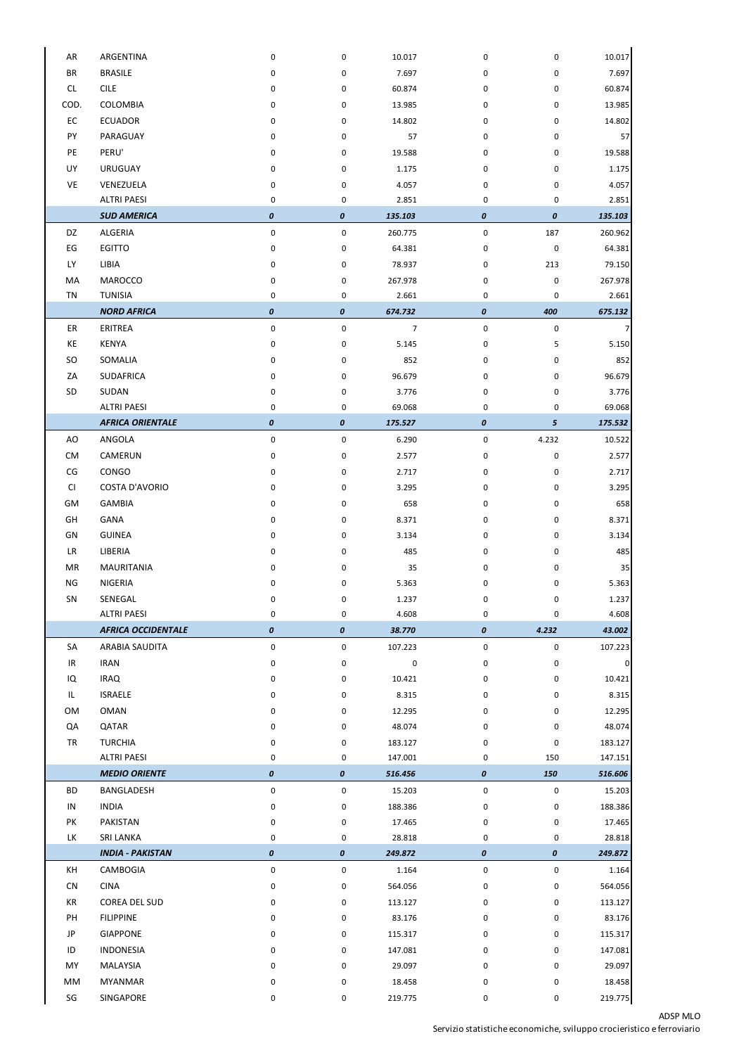## ADSP MLO

Servizio statistiche economiche, sviluppo crocieristico e ferroviario

| AR        | ARGENTINA                 | 0                  | 0                  | 10.017         | 0                | 0                | 10.017         |
|-----------|---------------------------|--------------------|--------------------|----------------|------------------|------------------|----------------|
| <b>BR</b> | <b>BRASILE</b>            | 0                  | 0                  | 7.697          | 0                | 0                | 7.697          |
| CL        | <b>CILE</b>               | 0                  | 0                  | 60.874         | 0                | 0                | 60.874         |
| COD.      | COLOMBIA                  | 0                  | 0                  | 13.985         | 0                | 0                | 13.985         |
| EC        | <b>ECUADOR</b>            | 0                  | 0                  | 14.802         |                  | 0                | 14.802         |
| PY        | PARAGUAY                  |                    |                    | 57             | 0                |                  |                |
|           |                           | 0                  | 0                  |                | 0                | 0                | 57             |
| PE        | PERU'                     | 0                  | 0                  | 19.588         | 0                | 0                | 19.588         |
| UY        | <b>URUGUAY</b>            | 0                  | 0                  | 1.175          | 0                | 0                | 1.175          |
| VE        | VENEZUELA                 | 0                  | 0                  | 4.057          | 0                | 0                | 4.057          |
|           | <b>ALTRI PAESI</b>        | 0                  | 0                  | 2.851          | 0                | 0                | 2.851          |
|           | <b>SUD AMERICA</b>        | $\pmb{o}$          | $\pmb{o}$          | 135.103        | 0                | $\pmb{o}$        | 135.103        |
| DZ        | ALGERIA                   | $\pmb{0}$          | 0                  | 260.775        | 0                | 187              | 260.962        |
| EG        | <b>EGITTO</b>             | 0                  | 0                  | 64.381         | 0                | $\pmb{0}$        | 64.381         |
| <b>LY</b> | LIBIA                     | 0                  | 0                  | 78.937         | 0                | 213              | 79.150         |
| MA        | <b>MAROCCO</b>            | 0                  | 0                  | 267.978        | 0                | 0                | 267.978        |
| <b>TN</b> | <b>TUNISIA</b>            | 0                  | 0                  | 2.661          | 0                | 0                | 2.661          |
|           | <b>NORD AFRICA</b>        | $\pmb{\mathit{0}}$ | $\pmb{o}$          | 674.732        | $\pmb{o}$        | 400              | 675.132        |
| ER        | ERITREA                   | $\pmb{0}$          | $\mathbf 0$        | $\overline{7}$ | $\pmb{0}$        | $\pmb{0}$        | 7              |
| KE        | <b>KENYA</b>              | 0                  | 0                  | 5.145          | 0                | 5                | 5.150          |
| <b>SO</b> | SOMALIA                   | 0                  | 0                  | 852            | 0                | 0                | 852            |
| ZA        | <b>SUDAFRICA</b>          | 0                  | 0                  | 96.679         | 0                | 0                | 96.679         |
| SD        | SUDAN                     | 0                  | 0                  | 3.776          | 0                | 0                | 3.776          |
|           | <b>ALTRI PAESI</b>        | 0                  | 0                  | 69.068         | 0                | 0                | 69.068         |
|           | <b>AFRICA ORIENTALE</b>   | $\pmb{\mathit{0}}$ | $\boldsymbol{o}$   | 175.527        | 0                | 5 <sup>5</sup>   | 175.532        |
| AO        | ANGOLA                    | 0                  | 0                  | 6.290          | 0                | 4.232            | 10.522         |
| CM        | CAMERUN                   | 0                  | 0                  | 2.577          | 0                | 0                | 2.577          |
| CG        | CONGO                     | 0                  | 0                  | 2.717          | 0                | 0                | 2.717          |
| CI        | <b>COSTA D'AVORIO</b>     | 0                  | 0                  | 3.295          | 0                | 0                | 3.295          |
| GM        | <b>GAMBIA</b>             | 0                  | 0                  | 658            | 0                | 0                | 658            |
| GH        | GANA                      | 0                  | 0                  | 8.371          | 0                | 0                | 8.371          |
| GN        | <b>GUINEA</b>             | 0                  | 0                  | 3.134          | 0                | 0                | 3.134          |
| <b>LR</b> | LIBERIA                   | 0                  | 0                  | 485            | 0                | 0                | 485            |
| MR        | <b>MAURITANIA</b>         | 0                  | 0                  | 35             | 0                | 0                | 35             |
| NG        | NIGERIA                   | 0                  | 0                  | 5.363          | 0                | 0                | 5.363          |
| SN        | SENEGAL                   | 0                  | 0                  | 1.237          | 0                | 0                | 1.237          |
|           | <b>ALTRI PAESI</b>        | 0                  | 0                  | 4.608          | 0                | 0                | 4.608          |
|           | <b>AFRICA OCCIDENTALE</b> | $\pmb{\mathit{0}}$ | 0                  | 38.770         | 0                | 4.232            | 43.002         |
| SA        | ARABIA SAUDITA            | $\pmb{0}$          | 0                  | 107.223        | 0                | $\pmb{0}$        | 107.223        |
| IR        | <b>IRAN</b>               | $\pmb{0}$          | 0                  | 0              | 0                | 0                | $\overline{0}$ |
| IQ        | <b>IRAQ</b>               | 0                  | 0                  | 10.421         | 0                | 0                | 10.421         |
| IL        | <b>ISRAELE</b>            |                    |                    |                |                  |                  |                |
|           |                           | 0                  | 0                  | 8.315          | 0                | 0                | 8.315          |
| OM        | <b>OMAN</b>               | 0                  | 0                  | 12.295         | 0                | 0                | 12.295         |
| QA        | QATAR                     | 0                  | 0                  | 48.074         | 0                | 0                | 48.074         |
| <b>TR</b> | <b>TURCHIA</b>            | 0                  | 0                  | 183.127        | 0                | 0                | 183.127        |
|           | <b>ALTRI PAESI</b>        | 0                  | 0                  | 147.001        | 0                | 150              | 147.151        |
|           | <b>MEDIO ORIENTE</b>      | $\pmb{\mathit{0}}$ | $\pmb{\mathit{0}}$ | 516.456        | 0                | 150              | 516.606        |
| <b>BD</b> | BANGLADESH                | $\pmb{0}$          | 0                  | 15.203         | 0                | 0                | 15.203         |
| IN        | <b>INDIA</b>              | $\pmb{0}$          | 0                  | 188.386        | 0                | 0                | 188.386        |
| PK        | PAKISTAN                  | $\pmb{0}$          | 0                  | 17.465         | 0                | 0                | 17.465         |
| LK        | SRI LANKA                 | 0                  | 0                  | 28.818         | 0                | 0                | 28.818         |
|           | <b>INDIA - PAKISTAN</b>   | $\pmb{o}$          | $\boldsymbol{0}$   | 249.872        | $\boldsymbol{o}$ | $\boldsymbol{o}$ | 249.872        |
| KH        | CAMBOGIA                  | $\pmb{0}$          | 0                  | 1.164          | 0                | 0                | 1.164          |
| CN        | <b>CINA</b>               | 0                  | 0                  | 564.056        | 0                | 0                | 564.056        |
| KR        | COREA DEL SUD             | 0                  | 0                  | 113.127        | 0                | 0                | 113.127        |
| PH        | <b>FILIPPINE</b>          | 0                  | 0                  | 83.176         | 0                | 0                | 83.176         |
| JP        | <b>GIAPPONE</b>           | 0                  | 0                  | 115.317        | 0                | 0                | 115.317        |
| ID        | <b>INDONESIA</b>          | 0                  | 0                  | 147.081        | 0                | 0                | 147.081        |
| MY        | MALAYSIA                  | 0                  | 0                  | 29.097         | 0                | 0                | 29.097         |
|           |                           |                    |                    |                |                  |                  |                |
| MM        | <b>MYANMAR</b>            | $\pmb{0}$          | 0                  | 18.458         | 0                | 0                | 18.458         |